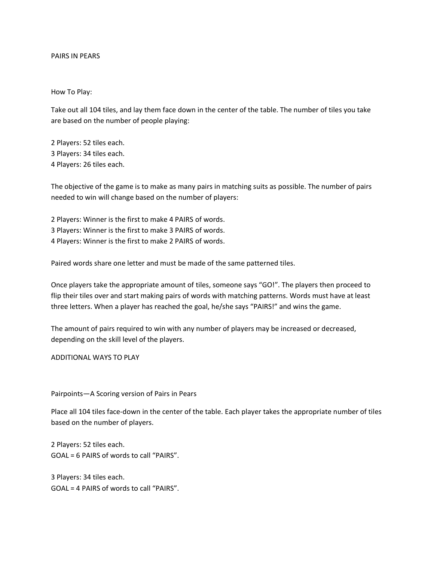## PAIRS IN PEARS

How To Play:

Take out all 104 tiles, and lay them face down in the center of the table. The number of tiles you take are based on the number of people playing:

2 Players: 52 tiles each. 3 Players: 34 tiles each. 4 Players: 26 tiles each.

The objective of the game is to make as many pairs in matching suits as possible. The number of pairs needed to win will change based on the number of players:

2 Players: Winner is the first to make 4 PAIRS of words. 3 Players: Winner is the first to make 3 PAIRS of words. 4 Players: Winner is the first to make 2 PAIRS of words.

Paired words share one letter and must be made of the same patterned tiles.

Once players take the appropriate amount of tiles, someone says "GO!". The players then proceed to flip their tiles over and start making pairs of words with matching patterns. Words must have at least three letters. When a player has reached the goal, he/she says "PAIRS!" and wins the game.

The amount of pairs required to win with any number of players may be increased or decreased, depending on the skill level of the players.

ADDITIONAL WAYS TO PLAY

Pairpoints—A Scoring version of Pairs in Pears

Place all 104 tiles face-down in the center of the table. Each player takes the appropriate number of tiles based on the number of players.

2 Players: 52 tiles each. GOAL = 6 PAIRS of words to call "PAIRS".

3 Players: 34 tiles each. GOAL = 4 PAIRS of words to call "PAIRS".